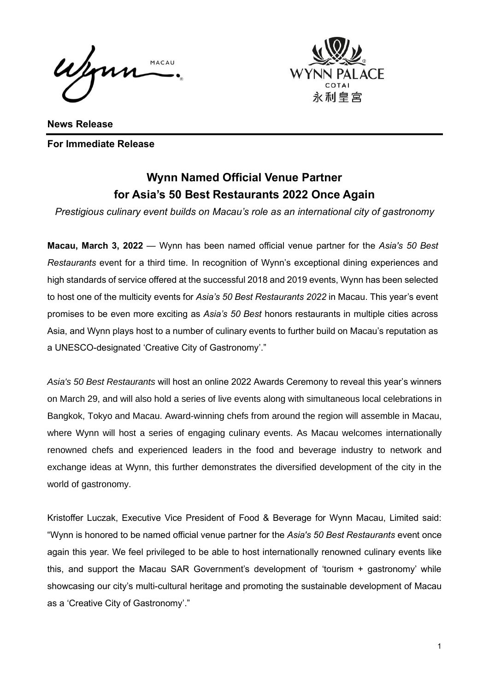Wenn MACAU



**News Release For Immediate Release** 

## **Wynn Named Official Venue Partner for Asia's 50 Best Restaurants 2022 Once Again**

*Prestigious culinary event builds on Macau's role as an international city of gastronomy*

**Macau, March 3, 2022** — Wynn has been named official venue partner for the *Asia's 50 Best Restaurants* event for a third time. In recognition of Wynn's exceptional dining experiences and high standards of service offered at the successful 2018 and 2019 events, Wynn has been selected to host one of the multicity events for *Asia's 50 Best Restaurants 2022* in Macau. This year's event promises to be even more exciting as *Asia's 50 Best* honors restaurants in multiple cities across Asia, and Wynn plays host to a number of culinary events to further build on Macau's reputation as a UNESCO-designated 'Creative City of Gastronomy'."

*Asia's 50 Best Restaurants* will host an online 2022 Awards Ceremony to reveal this year's winners on March 29, and will also hold a series of live events along with simultaneous local celebrations in Bangkok, Tokyo and Macau. Award-winning chefs from around the region will assemble in Macau, where Wynn will host a series of engaging culinary events. As Macau welcomes internationally renowned chefs and experienced leaders in the food and beverage industry to network and exchange ideas at Wynn, this further demonstrates the diversified development of the city in the world of gastronomy.

Kristoffer Luczak, Executive Vice President of Food & Beverage for Wynn Macau, Limited said: "Wynn is honored to be named official venue partner for the *Asia's 50 Best Restaurants* event once again this year. We feel privileged to be able to host internationally renowned culinary events like this, and support the Macau SAR Government's development of 'tourism + gastronomy' while showcasing our city's multi-cultural heritage and promoting the sustainable development of Macau as a 'Creative City of Gastronomy'."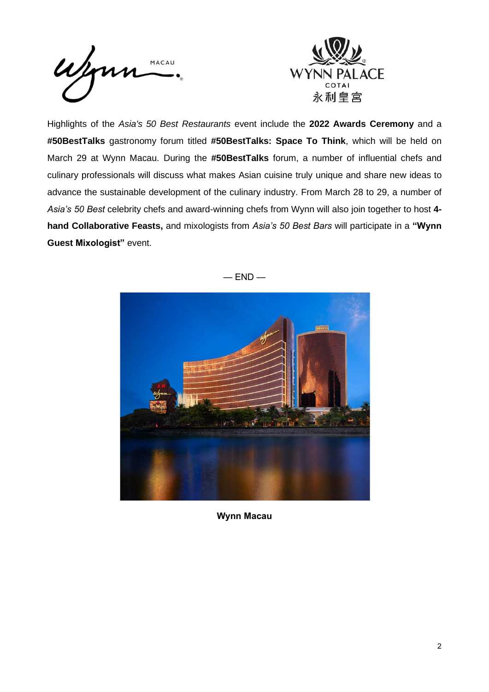



Highlights of the *Asia's 50 Best Restaurants* event include the **2022 Awards Ceremony** and a **#50BestTalks** gastronomy forum titled **#50BestTalks: Space To Think**, which will be held on March 29 at Wynn Macau. During the **#50BestTalks** forum, a number of influential chefs and culinary professionals will discuss what makes Asian cuisine truly unique and share new ideas to advance the sustainable development of the culinary industry. From March 28 to 29, a number of *Asia's 50 Best* celebrity chefs and award-winning chefs from Wynn will also join together to host **4 hand Collaborative Feasts,** and mixologists from *Asia's 50 Best Bars* will participate in a **"Wynn Guest Mixologist"** event.



 $-$  END  $-$ 

**Wynn Macau**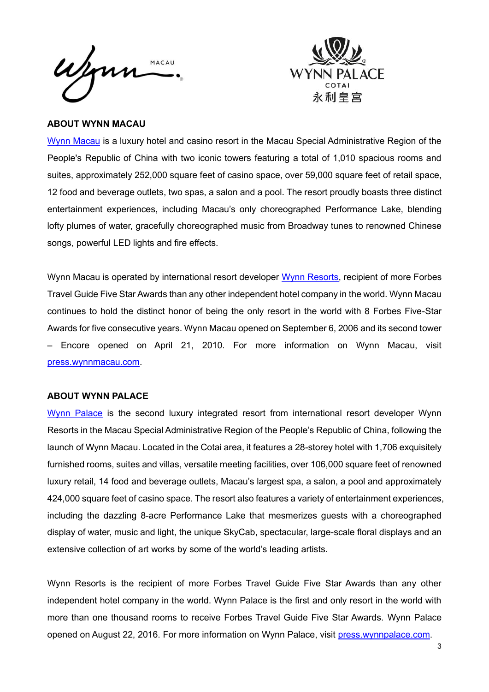Wynn MACAU



## **ABOUT WYNN MACAU**

[Wynn Macau](https://www.wynnmacau.com/en) is a luxury hotel and casino resort in the Macau Special Administrative Region of the People's Republic of China with two iconic towers featuring a total of 1,010 spacious rooms and suites, approximately 252,000 square feet of casino space, over 59,000 square feet of retail space, 12 food and beverage outlets, two spas, a salon and a pool. The resort proudly boasts three distinct entertainment experiences, including Macau's only choreographed Performance Lake, blending lofty plumes of water, gracefully choreographed music from Broadway tunes to renowned Chinese songs, powerful LED lights and fire effects.

Wynn Macau is operated by international resort developer [Wynn Resorts,](http://www.wynnresorts.com/) recipient of more Forbes Travel Guide Five Star Awards than any other independent hotel company in the world. Wynn Macau continues to hold the distinct honor of being the only resort in the world with 8 Forbes Five-Star Awards for five consecutive years. Wynn Macau opened on September 6, 2006 and its second tower – Encore opened on April 21, 2010. For more information on Wynn Macau, visit [press.wynnmacau.com.](https://press.wynnmacau.com/en)

## **ABOUT WYNN PALACE**

[Wynn Palace](https://www.wynnpalace.com/en) is the second luxury integrated resort from international resort developer Wynn Resorts in the Macau Special Administrative Region of the People's Republic of China, following the launch of Wynn Macau. Located in the Cotai area, it features a 28-storey hotel with 1,706 exquisitely furnished rooms, suites and villas, versatile meeting facilities, over 106,000 square feet of renowned luxury retail, 14 food and beverage outlets, Macau's largest spa, a salon, a pool and approximately 424,000 square feet of casino space. The resort also features a variety of entertainment experiences, including the dazzling 8-acre Performance Lake that mesmerizes guests with a choreographed display of water, music and light, the unique SkyCab, spectacular, large-scale floral displays and an extensive collection of art works by some of the world's leading artists.

Wynn Resorts is the recipient of more Forbes Travel Guide Five Star Awards than any other independent hotel company in the world. Wynn Palace is the first and only resort in the world with more than one thousand rooms to receive Forbes Travel Guide Five Star Awards. Wynn Palace opened on August 22, 2016. For more information on Wynn Palace, visit [press.wynnpalace.com.](https://press.wynnpalace.com/en)